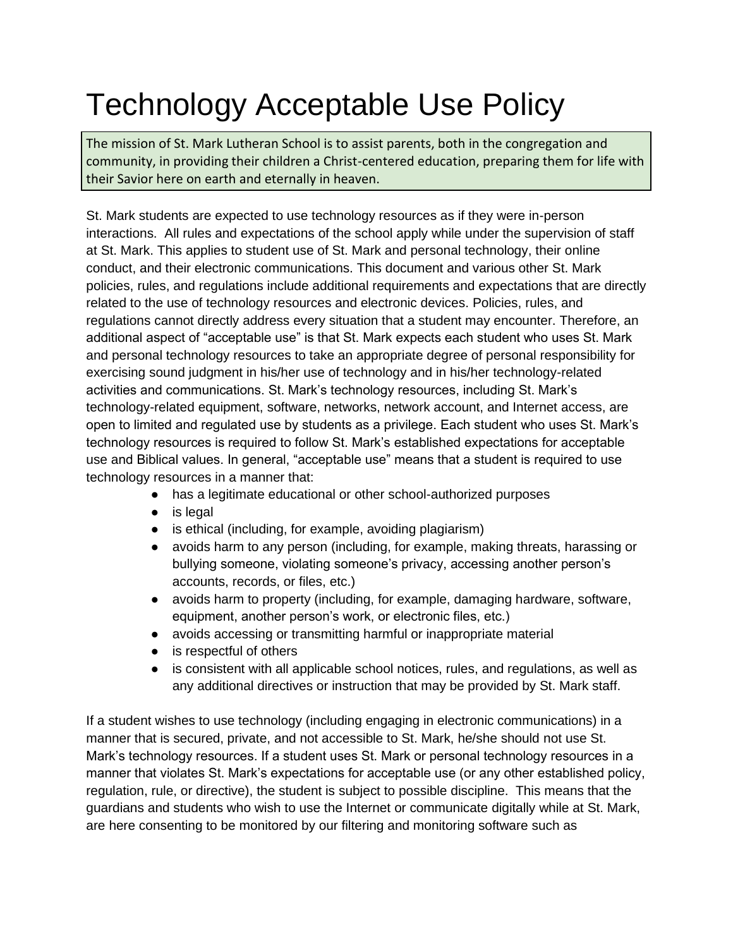# Technology Acceptable Use Policy

The mission of St. Mark Lutheran School is to assist parents, both in the congregation and community, in providing their children a Christ-centered education, preparing them for life with their Savior here on earth and eternally in heaven.

St. Mark students are expected to use technology resources as if they were in-person interactions. All rules and expectations of the school apply while under the supervision of staff at St. Mark. This applies to student use of St. Mark and personal technology, their online conduct, and their electronic communications. This document and various other St. Mark policies, rules, and regulations include additional requirements and expectations that are directly related to the use of technology resources and electronic devices. Policies, rules, and regulations cannot directly address every situation that a student may encounter. Therefore, an additional aspect of "acceptable use" is that St. Mark expects each student who uses St. Mark and personal technology resources to take an appropriate degree of personal responsibility for exercising sound judgment in his/her use of technology and in his/her technology-related activities and communications. St. Mark's technology resources, including St. Mark's technology-related equipment, software, networks, network account, and Internet access, are open to limited and regulated use by students as a privilege. Each student who uses St. Mark's technology resources is required to follow St. Mark's established expectations for acceptable use and Biblical values. In general, "acceptable use" means that a student is required to use technology resources in a manner that:

- has a legitimate educational or other school-authorized purposes
- is legal
- is ethical (including, for example, avoiding plagiarism)
- avoids harm to any person (including, for example, making threats, harassing or bullying someone, violating someone's privacy, accessing another person's accounts, records, or files, etc.)
- avoids harm to property (including, for example, damaging hardware, software, equipment, another person's work, or electronic files, etc.)
- avoids accessing or transmitting harmful or inappropriate material
- is respectful of others
- is consistent with all applicable school notices, rules, and regulations, as well as any additional directives or instruction that may be provided by St. Mark staff.

If a student wishes to use technology (including engaging in electronic communications) in a manner that is secured, private, and not accessible to St. Mark, he/she should not use St. Mark's technology resources. If a student uses St. Mark or personal technology resources in a manner that violates St. Mark's expectations for acceptable use (or any other established policy, regulation, rule, or directive), the student is subject to possible discipline. This means that the guardians and students who wish to use the Internet or communicate digitally while at St. Mark, are here consenting to be monitored by our filtering and monitoring software such as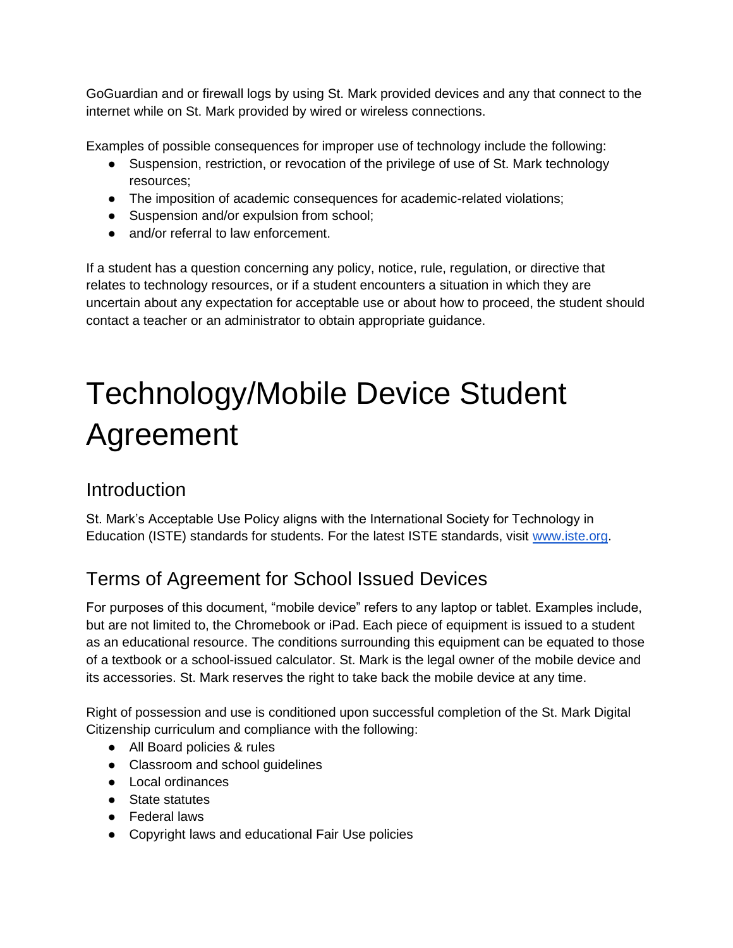GoGuardian and or firewall logs by using St. Mark provided devices and any that connect to the internet while on St. Mark provided by wired or wireless connections.

Examples of possible consequences for improper use of technology include the following:

- Suspension, restriction, or revocation of the privilege of use of St. Mark technology resources;
- The imposition of academic consequences for academic-related violations;
- Suspension and/or expulsion from school;
- and/or referral to law enforcement.

If a student has a question concerning any policy, notice, rule, regulation, or directive that relates to technology resources, or if a student encounters a situation in which they are uncertain about any expectation for acceptable use or about how to proceed, the student should contact a teacher or an administrator to obtain appropriate guidance.

# Technology/Mobile Device Student Agreement

## Introduction

St. Mark's Acceptable Use Policy aligns with the International Society for Technology in Education (ISTE) standards for students. For the latest ISTE standards, visit [www.iste.org.](http://www.iste.org/)

# Terms of Agreement for School Issued Devices

For purposes of this document, "mobile device" refers to any laptop or tablet. Examples include, but are not limited to, the Chromebook or iPad. Each piece of equipment is issued to a student as an educational resource. The conditions surrounding this equipment can be equated to those of a textbook or a school-issued calculator. St. Mark is the legal owner of the mobile device and its accessories. St. Mark reserves the right to take back the mobile device at any time.

Right of possession and use is conditioned upon successful completion of the St. Mark Digital Citizenship curriculum and compliance with the following:

- All Board policies & rules
- Classroom and school guidelines
- Local ordinances
- State statutes
- Federal laws
- Copyright laws and educational Fair Use policies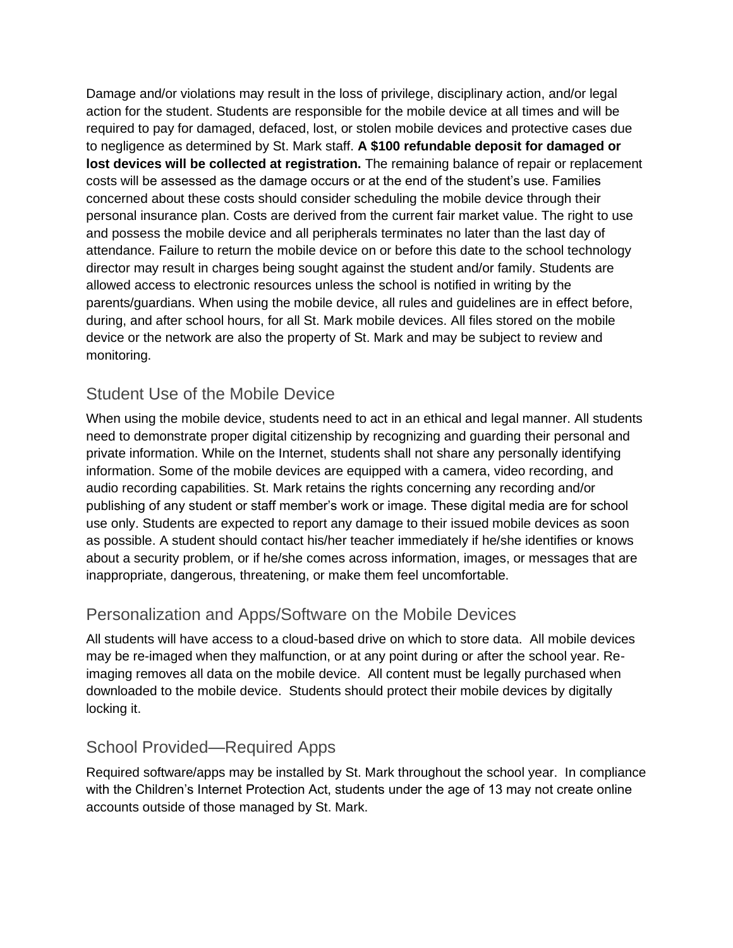Damage and/or violations may result in the loss of privilege, disciplinary action, and/or legal action for the student. Students are responsible for the mobile device at all times and will be required to pay for damaged, defaced, lost, or stolen mobile devices and protective cases due to negligence as determined by St. Mark staff. **A \$100 refundable deposit for damaged or lost devices will be collected at registration.** The remaining balance of repair or replacement costs will be assessed as the damage occurs or at the end of the student's use. Families concerned about these costs should consider scheduling the mobile device through their personal insurance plan. Costs are derived from the current fair market value. The right to use and possess the mobile device and all peripherals terminates no later than the last day of attendance. Failure to return the mobile device on or before this date to the school technology director may result in charges being sought against the student and/or family. Students are allowed access to electronic resources unless the school is notified in writing by the parents/guardians. When using the mobile device, all rules and guidelines are in effect before, during, and after school hours, for all St. Mark mobile devices. All files stored on the mobile device or the network are also the property of St. Mark and may be subject to review and monitoring.

#### Student Use of the Mobile Device

When using the mobile device, students need to act in an ethical and legal manner. All students need to demonstrate proper digital citizenship by recognizing and guarding their personal and private information. While on the Internet, students shall not share any personally identifying information. Some of the mobile devices are equipped with a camera, video recording, and audio recording capabilities. St. Mark retains the rights concerning any recording and/or publishing of any student or staff member's work or image. These digital media are for school use only. Students are expected to report any damage to their issued mobile devices as soon as possible. A student should contact his/her teacher immediately if he/she identifies or knows about a security problem, or if he/she comes across information, images, or messages that are inappropriate, dangerous, threatening, or make them feel uncomfortable.

### Personalization and Apps/Software on the Mobile Devices

All students will have access to a cloud-based drive on which to store data. All mobile devices may be re-imaged when they malfunction, or at any point during or after the school year. Reimaging removes all data on the mobile device. All content must be legally purchased when downloaded to the mobile device. Students should protect their mobile devices by digitally locking it.

#### School Provided—Required Apps

Required software/apps may be installed by St. Mark throughout the school year. In compliance with the Children's Internet Protection Act, students under the age of 13 may not create online accounts outside of those managed by St. Mark.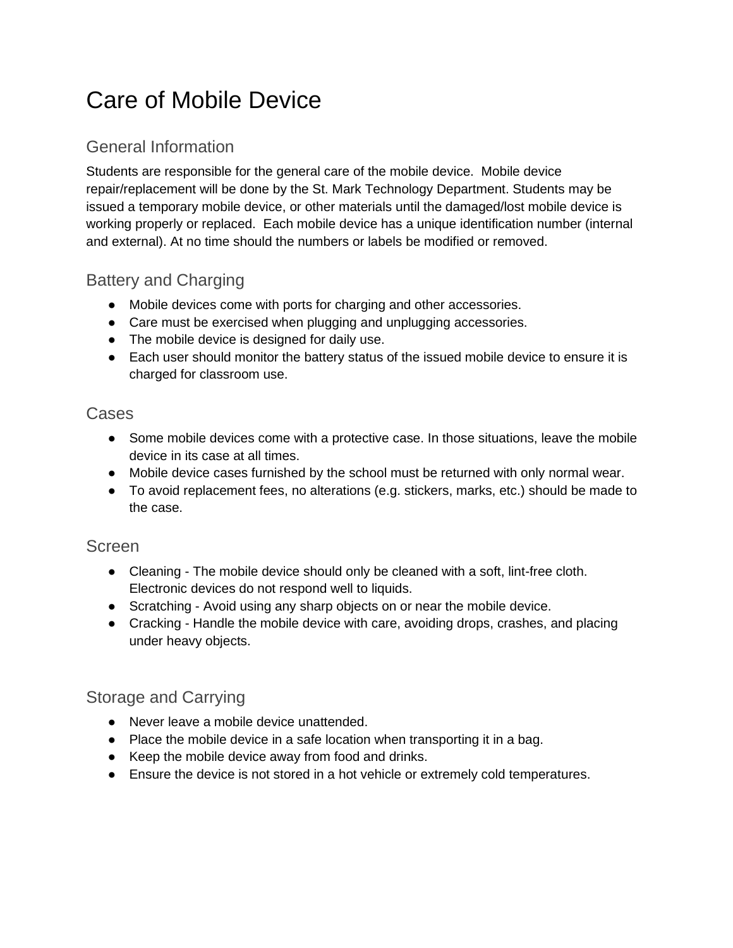# Care of Mobile Device

## General Information

Students are responsible for the general care of the mobile device. Mobile device repair/replacement will be done by the St. Mark Technology Department. Students may be issued a temporary mobile device, or other materials until the damaged/lost mobile device is working properly or replaced. Each mobile device has a unique identification number (internal and external). At no time should the numbers or labels be modified or removed.

### Battery and Charging

- Mobile devices come with ports for charging and other accessories.
- Care must be exercised when plugging and unplugging accessories.
- The mobile device is designed for daily use.
- Each user should monitor the battery status of the issued mobile device to ensure it is charged for classroom use.

#### Cases

- Some mobile devices come with a protective case. In those situations, leave the mobile device in its case at all times.
- Mobile device cases furnished by the school must be returned with only normal wear.
- To avoid replacement fees, no alterations (e.g. stickers, marks, etc.) should be made to the case.

#### Screen

- Cleaning The mobile device should only be cleaned with a soft, lint-free cloth. Electronic devices do not respond well to liquids.
- Scratching Avoid using any sharp objects on or near the mobile device.
- Cracking Handle the mobile device with care, avoiding drops, crashes, and placing under heavy objects.

### Storage and Carrying

- Never leave a mobile device unattended.
- Place the mobile device in a safe location when transporting it in a bag.
- Keep the mobile device away from food and drinks.
- Ensure the device is not stored in a hot vehicle or extremely cold temperatures.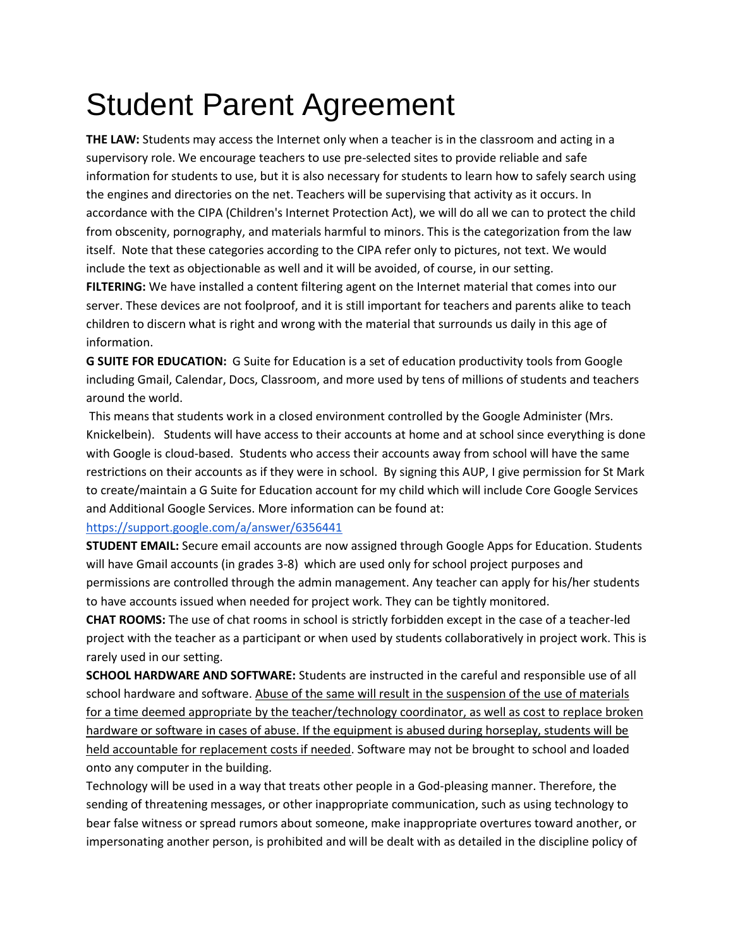# Student Parent Agreement

**THE LAW:** Students may access the Internet only when a teacher is in the classroom and acting in a supervisory role. We encourage teachers to use pre-selected sites to provide reliable and safe information for students to use, but it is also necessary for students to learn how to safely search using the engines and directories on the net. Teachers will be supervising that activity as it occurs. In accordance with the CIPA (Children's Internet Protection Act), we will do all we can to protect the child from obscenity, pornography, and materials harmful to minors. This is the categorization from the law itself. Note that these categories according to the CIPA refer only to pictures, not text. We would include the text as objectionable as well and it will be avoided, of course, in our setting.

**FILTERING:** We have installed a content filtering agent on the Internet material that comes into our server. These devices are not foolproof, and it is still important for teachers and parents alike to teach children to discern what is right and wrong with the material that surrounds us daily in this age of information.

**G SUITE FOR EDUCATION:** G Suite for Education is a set of education productivity tools from Google including Gmail, Calendar, Docs, Classroom, and more used by tens of millions of students and teachers around the world.

This means that students work in a closed environment controlled by the Google Administer (Mrs. Knickelbein). Students will have access to their accounts at home and at school since everything is done with Google is cloud-based. Students who access their accounts away from school will have the same restrictions on their accounts as if they were in school. By signing this AUP, I give permission for St Mark to create/maintain a G Suite for Education account for my child which will include Core Google Services and Additional Google Services. More information can be found at:

#### <https://support.google.com/a/answer/6356441>

**STUDENT EMAIL:** Secure email accounts are now assigned through Google Apps for Education. Students will have Gmail accounts (in grades 3-8) which are used only for school project purposes and permissions are controlled through the admin management. Any teacher can apply for his/her students to have accounts issued when needed for project work. They can be tightly monitored.

**CHAT ROOMS:** The use of chat rooms in school is strictly forbidden except in the case of a teacher-led project with the teacher as a participant or when used by students collaboratively in project work. This is rarely used in our setting.

**SCHOOL HARDWARE AND SOFTWARE:** Students are instructed in the careful and responsible use of all school hardware and software. Abuse of the same will result in the suspension of the use of materials for a time deemed appropriate by the teacher/technology coordinator, as well as cost to replace broken hardware or software in cases of abuse. If the equipment is abused during horseplay, students will be held accountable for replacement costs if needed. Software may not be brought to school and loaded onto any computer in the building.

Technology will be used in a way that treats other people in a God-pleasing manner. Therefore, the sending of threatening messages, or other inappropriate communication, such as using technology to bear false witness or spread rumors about someone, make inappropriate overtures toward another, or impersonating another person, is prohibited and will be dealt with as detailed in the discipline policy of